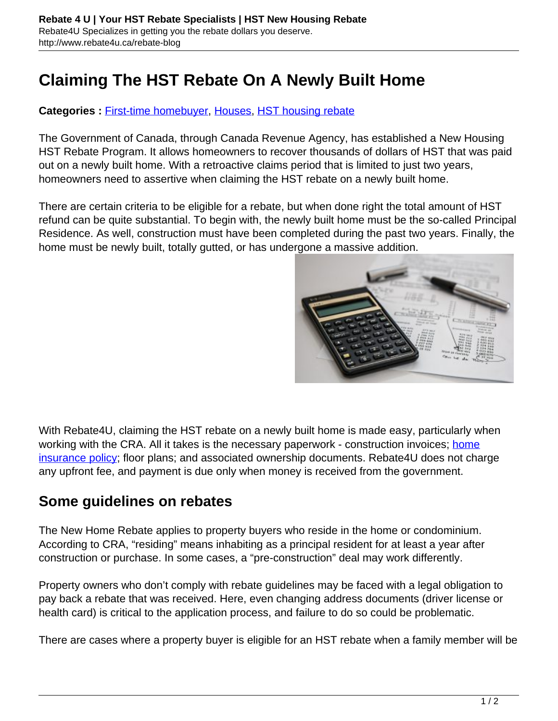# **Claiming The HST Rebate On A Newly Built Home**

#### Categories : **[First-time homebuyer,](http://www.rebate4u.ca/rebate-blog/category/first-time-homebuyer/) [Houses,](http://www.rebate4u.ca/rebate-blog/category/houses/) [HST housing rebate](http://www.rebate4u.ca/rebate-blog/category/hst-housing-rebate/)**

The Government of Canada, through Canada Revenue Agency, has established a New Housing HST Rebate Program. It allows homeowners to recover thousands of dollars of HST that was paid out on a newly built home. With a retroactive claims period that is limited to just two years, homeowners need to assertive when claiming the HST rebate on a newly built home.

There are certain criteria to be eligible for a rebate, but when done right the total amount of HST refund can be quite substantial. To begin with, the newly built home must be the so-called Principal Residence. As well, construction must have been completed during the past two years. Finally, the home must be newly built, totally gutted, or has undergone a massive addition.



With Rebate4U, claiming the HST rebate on a newly built home is made easy, particularly when working with the CRA. All it takes is the necessary paperwork - construction invoices; [home](http://www.ibc.ca/qc/home/types-of-coverage) [insurance policy;](http://www.ibc.ca/qc/home/types-of-coverage) floor plans; and associated ownership documents. Rebate4U does not charge any upfront fee, and payment is due only when money is received from the government.

### **Some guidelines on rebates**

The New Home Rebate applies to property buyers who reside in the home or condominium. According to CRA, "residing" means inhabiting as a principal resident for at least a year after construction or purchase. In some cases, a "pre-construction" deal may work differently.

Property owners who don't comply with rebate guidelines may be faced with a legal obligation to pay back a rebate that was received. Here, even changing address documents (driver license or health card) is critical to the application process, and failure to do so could be problematic.

There are cases where a property buyer is eligible for an HST rebate when a family member will be